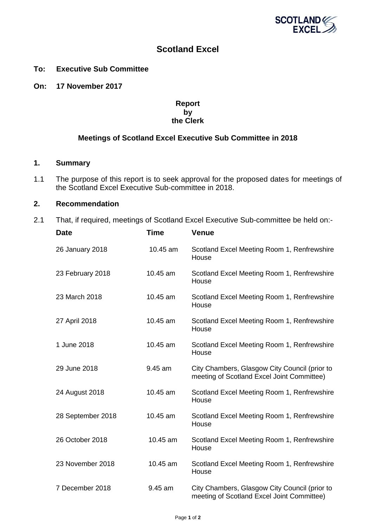

# **Scotland Excel**

### **To: Executive Sub Committee**

**On: 17 November 2017**

### **Report by the Clerk**

## **Meetings of Scotland Excel Executive Sub Committee in 2018**

#### **1. Summary**

1.1 The purpose of this report is to seek approval for the proposed dates for meetings of the Scotland Excel Executive Sub-committee in 2018.

## **2. Recommendation**

2.1 That, if required, meetings of Scotland Excel Executive Sub-committee be held on:-

| <b>Date</b>       | Time     | Venue                                                                                       |
|-------------------|----------|---------------------------------------------------------------------------------------------|
| 26 January 2018   | 10.45 am | Scotland Excel Meeting Room 1, Renfrewshire<br>House                                        |
| 23 February 2018  | 10.45 am | Scotland Excel Meeting Room 1, Renfrewshire<br>House                                        |
| 23 March 2018     | 10.45 am | Scotland Excel Meeting Room 1, Renfrewshire<br>House                                        |
| 27 April 2018     | 10.45 am | Scotland Excel Meeting Room 1, Renfrewshire<br>House                                        |
| 1 June 2018       | 10.45 am | Scotland Excel Meeting Room 1, Renfrewshire<br>House                                        |
| 29 June 2018      | 9.45 am  | City Chambers, Glasgow City Council (prior to<br>meeting of Scotland Excel Joint Committee) |
| 24 August 2018    | 10.45 am | Scotland Excel Meeting Room 1, Renfrewshire<br>House                                        |
| 28 September 2018 | 10.45 am | Scotland Excel Meeting Room 1, Renfrewshire<br>House                                        |
| 26 October 2018   | 10.45 am | Scotland Excel Meeting Room 1, Renfrewshire<br>House                                        |
| 23 November 2018  | 10.45 am | Scotland Excel Meeting Room 1, Renfrewshire<br>House                                        |
| 7 December 2018   | 9.45 am  | City Chambers, Glasgow City Council (prior to<br>meeting of Scotland Excel Joint Committee) |